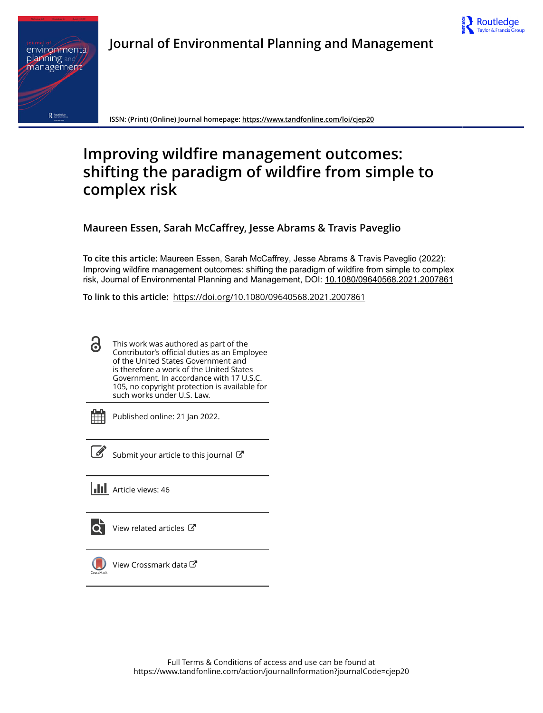

# **Journal of Environmental Planning and Management**



**ISSN: (Print) (Online) Journal homepage:<https://www.tandfonline.com/loi/cjep20>**

# **Improving wildfire management outcomes: shifting the paradigm of wildfire from simple to complex risk**

**Maureen Essen, Sarah McCaffrey, Jesse Abrams & Travis Paveglio**

**To cite this article:** Maureen Essen, Sarah McCaffrey, Jesse Abrams & Travis Paveglio (2022): Improving wildfire management outcomes: shifting the paradigm of wildfire from simple to complex risk, Journal of Environmental Planning and Management, DOI: [10.1080/09640568.2021.2007861](https://www.tandfonline.com/action/showCitFormats?doi=10.1080/09640568.2021.2007861)

**To link to this article:** <https://doi.org/10.1080/09640568.2021.2007861>

This work was authored as part of the 6 Contributor's official duties as an Employee of the United States Government and is therefore a work of the United States Government. In accordance with 17 U.S.C. 105, no copyright protection is available for such works under U.S. Law.

Published online: 21 Jan 2022.



 $\overline{\mathscr{L}}$  [Submit your article to this journal](https://www.tandfonline.com/action/authorSubmission?journalCode=cjep20&show=instructions)  $\mathbb{Z}$ 

**III** Article views: 46

[View related articles](https://www.tandfonline.com/doi/mlt/10.1080/09640568.2021.2007861) C



[View Crossmark data](http://crossmark.crossref.org/dialog/?doi=10.1080/09640568.2021.2007861&domain=pdf&date_stamp=2022-01-21)<sup>C</sup>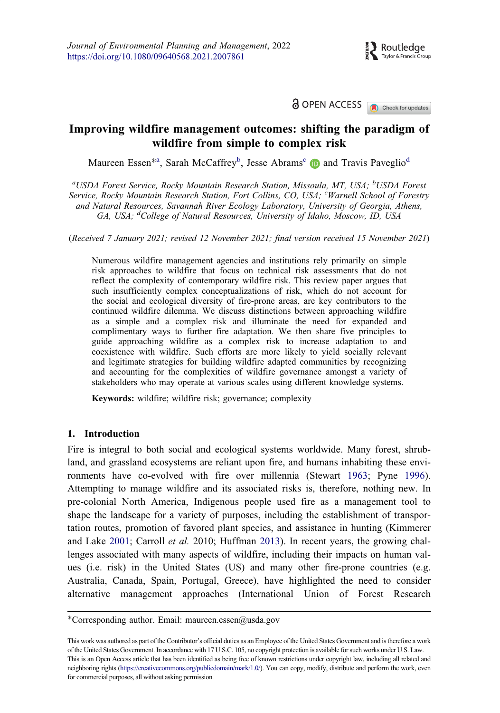**a** OPEN ACCESS **CALC** Check for updates

## <span id="page-1-0"></span>Improving wildfire management outcomes: shifting the paradigm of wildfire from simple to complex risk

Maureen Essen<sup>\*a</sup>, Sarah McCaffrey<sup>b</sup>, Jesse Abrams<sup>c</sup> in and Travis Paveglio<sup>d</sup>

<sup>a</sup>USDA Forest Service, Rocky Mountain Research Station, Missoula, MT, USA; <sup>b</sup>USDA Forest Service, Rocky Mountain Research Station, Fort Collins, CO, USA; <sup>c</sup>Warnell School of Forestry and Natural Resources, Savannah River Ecology Laboratory, University of Georgia, Athens, GA, USA; <sup>d</sup>College of Natural Resources, University of Idaho, Moscow, ID, USA

(Received 7 January 2021; revised 12 November 2021; final version received 15 November 2021)

Numerous wildfire management agencies and institutions rely primarily on simple risk approaches to wildfire that focus on technical risk assessments that do not reflect the complexity of contemporary wildfire risk. This review paper argues that such insufficiently complex conceptualizations of risk, which do not account for the social and ecological diversity of fire-prone areas, are key contributors to the continued wildfire dilemma. We discuss distinctions between approaching wildfire as a simple and a complex risk and illuminate the need for expanded and complimentary ways to further fire adaptation. We then share five principles to guide approaching wildfire as a complex risk to increase adaptation to and coexistence with wildfire. Such efforts are more likely to yield socially relevant and legitimate strategies for building wildfire adapted communities by recognizing and accounting for the complexities of wildfire governance amongst a variety of stakeholders who may operate at various scales using different knowledge systems.

Keywords: wildfire; wildfire risk; governance; complexity

### 1. Introduction

Fire is integral to both social and ecological systems worldwide. Many forest, shrubland, and grassland ecosystems are reliant upon fire, and humans inhabiting these environments have co-evolved with fire over millennia (Stewart [1963;](#page-19-0) Pyne [1996](#page-18-0)). Attempting to manage wildfire and its associated risks is, therefore, nothing new. In pre-colonial North America, Indigenous people used fire as a management tool to shape the landscape for a variety of purposes, including the establishment of transportation routes, promotion of favored plant species, and assistance in hunting (Kimmerer and Lake [2001](#page-17-0); Carroll et al. 2010; Huffman [2013](#page-16-0)). In recent years, the growing challenges associated with many aspects of wildfire, including their impacts on human values (i.e. risk) in the United States (US) and many other fire-prone countries (e.g. Australia, Canada, Spain, Portugal, Greece), have highlighted the need to consider alternative management approaches (International Union of Forest Research

Corresponding author. Email: maureen.essen@usda.gov

This work was authored as part of the Contributor's official duties as an Employee of the United States Government and is therefore a work of the United States Government. In accordance with 17 U.S.C. 105, no copyright protection is available for such works under U.S. Law. This is an Open Access article that has been identified as being free of known restrictions under copyright law, including all related and neighboring rights ([https://creativecommons.org/publicdomain/mark/1.0/\)](https://creativecommons.org/publicdomain/mark/1.0/). You can copy, modify, distribute and perform the work, even for commercial purposes, all without asking permission.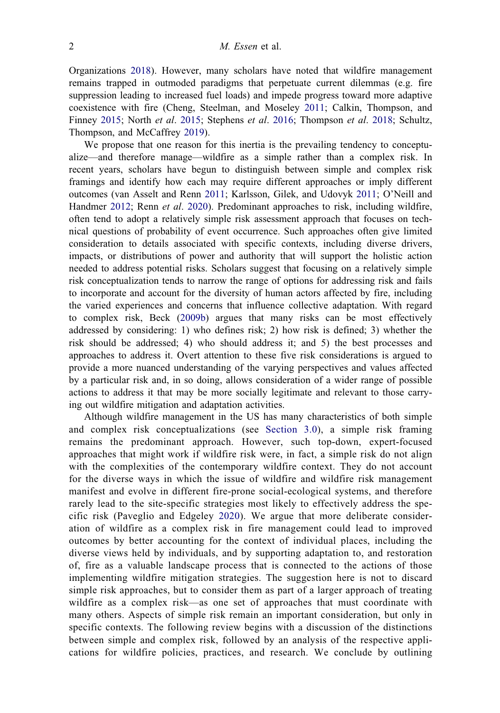<span id="page-2-0"></span>Organizations [2018\)](#page-16-0). However, many scholars have noted that wildfire management remains trapped in outmoded paradigms that perpetuate current dilemmas (e.g. fire suppression leading to increased fuel loads) and impede progress toward more adaptive coexistence with fire (Cheng, Steelman, and Moseley [2011;](#page-15-0) Calkin, Thompson, and Finney [2015;](#page-15-0) North et al. [2015](#page-17-0); Stephens et al. [2016;](#page-19-0) Thompson et al. [2018;](#page-19-0) Schultz, Thompson, and McCaffrey [2019\)](#page-18-0).

We propose that one reason for this inertia is the prevailing tendency to conceptualize—and therefore manage—wildfire as a simple rather than a complex risk. In recent years, scholars have begun to distinguish between simple and complex risk framings and identify how each may require different approaches or imply different outcomes (van Asselt and Renn [2011](#page-19-0); Karlsson, Gilek, and Udovyk [2011;](#page-16-0) O'Neill and Handmer [2012;](#page-17-0) Renn et al. [2020](#page-18-0)). Predominant approaches to risk, including wildfire, often tend to adopt a relatively simple risk assessment approach that focuses on technical questions of probability of event occurrence. Such approaches often give limited consideration to details associated with specific contexts, including diverse drivers, impacts, or distributions of power and authority that will support the holistic action needed to address potential risks. Scholars suggest that focusing on a relatively simple risk conceptualization tends to narrow the range of options for addressing risk and fails to incorporate and account for the diversity of human actors affected by fire, including the varied experiences and concerns that influence collective adaptation. With regard to complex risk, Beck ([2009b\)](#page-14-0) argues that many risks can be most effectively addressed by considering: 1) who defines risk; 2) how risk is defined; 3) whether the risk should be addressed; 4) who should address it; and 5) the best processes and approaches to address it. Overt attention to these five risk considerations is argued to provide a more nuanced understanding of the varying perspectives and values affected by a particular risk and, in so doing, allows consideration of a wider range of possible actions to address it that may be more socially legitimate and relevant to those carrying out wildfire mitigation and adaptation activities.

Although wildfire management in the US has many characteristics of both simple and complex risk conceptualizations (see [Section 3.0](#page-5-0)), a simple risk framing remains the predominant approach. However, such top-down, expert-focused approaches that might work if wildfire risk were, in fact, a simple risk do not align with the complexities of the contemporary wildfire context. They do not account for the diverse ways in which the issue of wildfire and wildfire risk management manifest and evolve in different fire-prone social-ecological systems, and therefore rarely lead to the site-specific strategies most likely to effectively address the specific risk (Paveglio and Edgeley [2020\)](#page-18-0). We argue that more deliberate consideration of wildfire as a complex risk in fire management could lead to improved outcomes by better accounting for the context of individual places, including the diverse views held by individuals, and by supporting adaptation to, and restoration of, fire as a valuable landscape process that is connected to the actions of those implementing wildfire mitigation strategies. The suggestion here is not to discard simple risk approaches, but to consider them as part of a larger approach of treating wildfire as a complex risk—as one set of approaches that must coordinate with many others. Aspects of simple risk remain an important consideration, but only in specific contexts. The following review begins with a discussion of the distinctions between simple and complex risk, followed by an analysis of the respective applications for wildfire policies, practices, and research. We conclude by outlining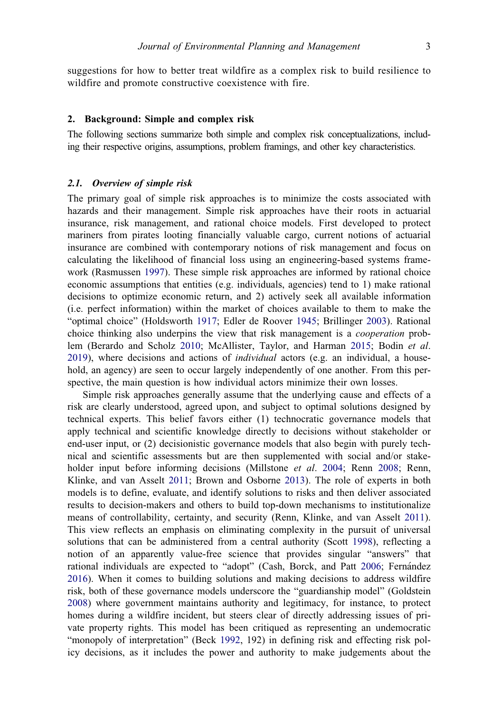<span id="page-3-0"></span>suggestions for how to better treat wildfire as a complex risk to build resilience to wildfire and promote constructive coexistence with fire.

#### 2. Background: Simple and complex risk

The following sections summarize both simple and complex risk conceptualizations, including their respective origins, assumptions, problem framings, and other key characteristics.

#### 2.1. Overview of simple risk

The primary goal of simple risk approaches is to minimize the costs associated with hazards and their management. Simple risk approaches have their roots in actuarial insurance, risk management, and rational choice models. First developed to protect mariners from pirates looting financially valuable cargo, current notions of actuarial insurance are combined with contemporary notions of risk management and focus on calculating the likelihood of financial loss using an engineering-based systems framework (Rasmussen [1997](#page-18-0)). These simple risk approaches are informed by rational choice economic assumptions that entities (e.g. individuals, agencies) tend to 1) make rational decisions to optimize economic return, and 2) actively seek all available information (i.e. perfect information) within the market of choices available to them to make the "optimal choice" (Holdsworth [1917](#page-16-0); Edler de Roover [1945](#page-16-0); Brillinger [2003\)](#page-14-0). Rational choice thinking also underpins the view that risk management is a cooperation problem (Berardo and Scholz [2010;](#page-14-0) McAllister, Taylor, and Harman [2015](#page-17-0); Bodin et al.  $2019$ ), where decisions and actions of *individual* actors (e.g. an individual, a household, an agency) are seen to occur largely independently of one another. From this perspective, the main question is how individual actors minimize their own losses.

Simple risk approaches generally assume that the underlying cause and effects of a risk are clearly understood, agreed upon, and subject to optimal solutions designed by technical experts. This belief favors either (1) technocratic governance models that apply technical and scientific knowledge directly to decisions without stakeholder or end-user input, or (2) decisionistic governance models that also begin with purely technical and scientific assessments but are then supplemented with social and/or stake-holder input before informing decisions (Millstone et al. [2004](#page-17-0); Renn [2008](#page-18-0); Renn, Klinke, and van Asselt [2011](#page-18-0); Brown and Osborne [2013](#page-14-0)). The role of experts in both models is to define, evaluate, and identify solutions to risks and then deliver associated results to decision-makers and others to build top-down mechanisms to institutionalize means of controllability, certainty, and security (Renn, Klinke, and van Asselt [2011](#page-18-0)). This view reflects an emphasis on eliminating complexity in the pursuit of universal solutions that can be administered from a central authority (Scott [1998\)](#page-18-0), reflecting a notion of an apparently value-free science that provides singular "answers" that rational individuals are expected to "adopt" (Cash, Borck, and Patt [2006](#page-15-0); Fernandez [2016\)](#page-16-0). When it comes to building solutions and making decisions to address wildfire risk, both of these governance models underscore the "guardianship model" (Goldstein [2008\)](#page-16-0) where government maintains authority and legitimacy, for instance, to protect homes during a wildfire incident, but steers clear of directly addressing issues of private property rights. This model has been critiqued as representing an undemocratic "monopoly of interpretation" (Beck [1992](#page-14-0), 192) in defining risk and effecting risk policy decisions, as it includes the power and authority to make judgements about the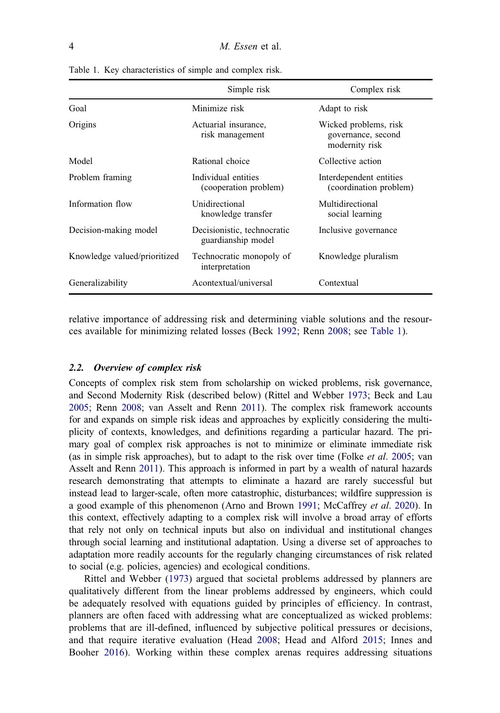|                              | Simple risk                                       | Complex risk                                                  |
|------------------------------|---------------------------------------------------|---------------------------------------------------------------|
| Goal                         | Minimize risk                                     | Adapt to risk                                                 |
| Origins                      | Actuarial insurance,<br>risk management           | Wicked problems, risk<br>governance, second<br>modernity risk |
| Model                        | Rational choice                                   | Collective action                                             |
| Problem framing              | Individual entities<br>(cooperation problem)      | Interdependent entities<br>(coordination problem)             |
| Information flow             | Unidirectional<br>knowledge transfer              | Multidirectional<br>social learning                           |
| Decision-making model        | Decisionistic, technocratic<br>guardianship model | Inclusive governance                                          |
| Knowledge valued/prioritized | Technocratic monopoly of<br>interpretation        | Knowledge pluralism                                           |
| Generalizability             | Acontextual/universal                             | Contextual                                                    |

<span id="page-4-0"></span>Table 1. Key characteristics of simple and complex risk.

relative importance of addressing risk and determining viable solutions and the resources available for minimizing related losses (Beck [1992;](#page-14-0) Renn [2008;](#page-18-0) see Table 1).

#### 2.2. Overview of complex risk

Concepts of complex risk stem from scholarship on wicked problems, risk governance, and Second Modernity Risk (described below) (Rittel and Webber [1973;](#page-18-0) Beck and Lau [2005;](#page-14-0) Renn [2008;](#page-18-0) van Asselt and Renn [2011\)](#page-19-0). The complex risk framework accounts for and expands on simple risk ideas and approaches by explicitly considering the multiplicity of contexts, knowledges, and definitions regarding a particular hazard. The primary goal of complex risk approaches is not to minimize or eliminate immediate risk (as in simple risk approaches), but to adapt to the risk over time (Folke et al. [2005](#page-16-0); van Asselt and Renn [2011\)](#page-19-0). This approach is informed in part by a wealth of natural hazards research demonstrating that attempts to eliminate a hazard are rarely successful but instead lead to larger-scale, often more catastrophic, disturbances; wildfire suppression is a good example of this phenomenon (Arno and Brown [1991](#page-14-0); McCaffrey et al. [2020](#page-17-0)). In this context, effectively adapting to a complex risk will involve a broad array of efforts that rely not only on technical inputs but also on individual and institutional changes through social learning and institutional adaptation. Using a diverse set of approaches to adaptation more readily accounts for the regularly changing circumstances of risk related to social (e.g. policies, agencies) and ecological conditions.

Rittel and Webber [\(1973](#page-18-0)) argued that societal problems addressed by planners are qualitatively different from the linear problems addressed by engineers, which could be adequately resolved with equations guided by principles of efficiency. In contrast, planners are often faced with addressing what are conceptualized as wicked problems: problems that are ill-defined, influenced by subjective political pressures or decisions, and that require iterative evaluation (Head [2008;](#page-16-0) Head and Alford [2015](#page-16-0); Innes and Booher [2016\)](#page-16-0). Working within these complex arenas requires addressing situations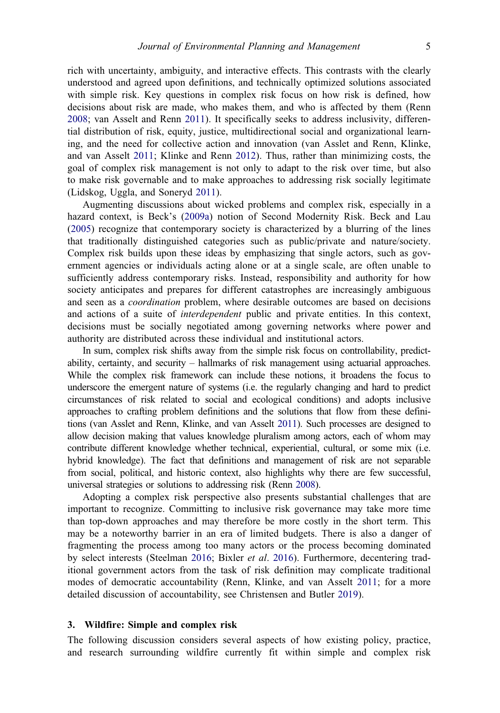<span id="page-5-0"></span>rich with uncertainty, ambiguity, and interactive effects. This contrasts with the clearly understood and agreed upon definitions, and technically optimized solutions associated with simple risk. Key questions in complex risk focus on how risk is defined, how decisions about risk are made, who makes them, and who is affected by them (Renn [2008;](#page-18-0) van Asselt and Renn [2011\)](#page-19-0). It specifically seeks to address inclusivity, differential distribution of risk, equity, justice, multidirectional social and organizational learning, and the need for collective action and innovation (van Asslet and Renn, Klinke, and van Asselt [2011;](#page-18-0) Klinke and Renn [2012\)](#page-17-0). Thus, rather than minimizing costs, the goal of complex risk management is not only to adapt to the risk over time, but also to make risk governable and to make approaches to addressing risk socially legitimate (Lidskog, Uggla, and Soneryd [2011](#page-17-0)).

Augmenting discussions about wicked problems and complex risk, especially in a hazard context, is Beck's [\(2009a\)](#page-14-0) notion of Second Modernity Risk. Beck and Lau ([2005\)](#page-14-0) recognize that contemporary society is characterized by a blurring of the lines that traditionally distinguished categories such as public/private and nature/society. Complex risk builds upon these ideas by emphasizing that single actors, such as government agencies or individuals acting alone or at a single scale, are often unable to sufficiently address contemporary risks. Instead, responsibility and authority for how society anticipates and prepares for different catastrophes are increasingly ambiguous and seen as a coordination problem, where desirable outcomes are based on decisions and actions of a suite of interdependent public and private entities. In this context, decisions must be socially negotiated among governing networks where power and authority are distributed across these individual and institutional actors.

In sum, complex risk shifts away from the simple risk focus on controllability, predictability, certainty, and security – hallmarks of risk management using actuarial approaches. While the complex risk framework can include these notions, it broadens the focus to underscore the emergent nature of systems (i.e. the regularly changing and hard to predict circumstances of risk related to social and ecological conditions) and adopts inclusive approaches to crafting problem definitions and the solutions that flow from these definitions (van Asslet and Renn, Klinke, and van Asselt [2011](#page-18-0)). Such processes are designed to allow decision making that values knowledge pluralism among actors, each of whom may contribute different knowledge whether technical, experiential, cultural, or some mix (i.e. hybrid knowledge). The fact that definitions and management of risk are not separable from social, political, and historic context, also highlights why there are few successful, universal strategies or solutions to addressing risk (Renn [2008](#page-18-0)).

Adopting a complex risk perspective also presents substantial challenges that are important to recognize. Committing to inclusive risk governance may take more time than top-down approaches and may therefore be more costly in the short term. This may be a noteworthy barrier in an era of limited budgets. There is also a danger of fragmenting the process among too many actors or the process becoming dominated by select interests (Steelman [2016;](#page-18-0) Bixler et al. [2016\)](#page-14-0). Furthermore, decentering traditional government actors from the task of risk definition may complicate traditional modes of democratic accountability (Renn, Klinke, and van Asselt [2011](#page-18-0); for a more detailed discussion of accountability, see Christensen and Butler [2019\)](#page-15-0).

#### 3. Wildfire: Simple and complex risk

The following discussion considers several aspects of how existing policy, practice, and research surrounding wildfire currently fit within simple and complex risk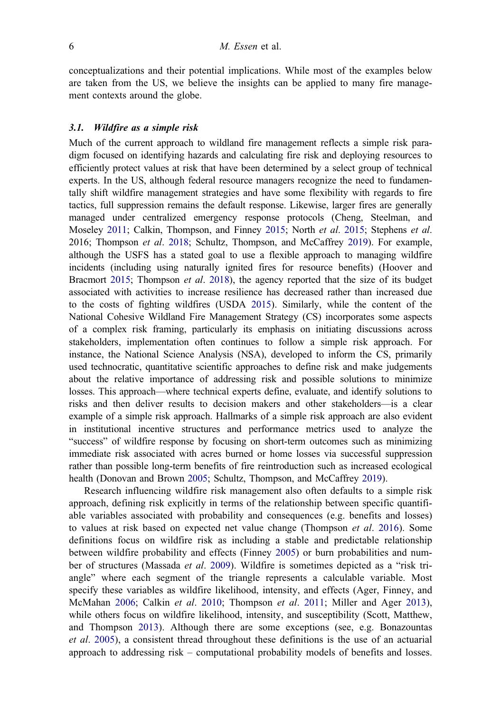<span id="page-6-0"></span>conceptualizations and their potential implications. While most of the examples below are taken from the US, we believe the insights can be applied to many fire management contexts around the globe.

#### 3.1. Wildfire as a simple risk

Much of the current approach to wildland fire management reflects a simple risk paradigm focused on identifying hazards and calculating fire risk and deploying resources to efficiently protect values at risk that have been determined by a select group of technical experts. In the US, although federal resource managers recognize the need to fundamentally shift wildfire management strategies and have some flexibility with regards to fire tactics, full suppression remains the default response. Likewise, larger fires are generally managed under centralized emergency response protocols (Cheng, Steelman, and Moseley [2011](#page-15-0); Calkin, Thompson, and Finney [2015;](#page-15-0) North et al. [2015;](#page-17-0) Stephens et al. 2016; Thompson et al. [2018](#page-19-0); Schultz, Thompson, and McCaffrey [2019](#page-18-0)). For example, although the USFS has a stated goal to use a flexible approach to managing wildfire incidents (including using naturally ignited fires for resource benefits) (Hoover and Bracmort [2015;](#page-16-0) Thompson et al. [2018](#page-19-0)), the agency reported that the size of its budget associated with activities to increase resilience has decreased rather than increased due to the costs of fighting wildfires (USDA [2015\)](#page-19-0). Similarly, while the content of the National Cohesive Wildland Fire Management Strategy (CS) incorporates some aspects of a complex risk framing, particularly its emphasis on initiating discussions across stakeholders, implementation often continues to follow a simple risk approach. For instance, the National Science Analysis (NSA), developed to inform the CS, primarily used technocratic, quantitative scientific approaches to define risk and make judgements about the relative importance of addressing risk and possible solutions to minimize losses. This approach—where technical experts define, evaluate, and identify solutions to risks and then deliver results to decision makers and other stakeholders—is a clear example of a simple risk approach. Hallmarks of a simple risk approach are also evident in institutional incentive structures and performance metrics used to analyze the "success" of wildfire response by focusing on short-term outcomes such as minimizing immediate risk associated with acres burned or home losses via successful suppression rather than possible long-term benefits of fire reintroduction such as increased ecological health (Donovan and Brown [2005;](#page-16-0) Schultz, Thompson, and McCaffrey [2019](#page-18-0)).

Research influencing wildfire risk management also often defaults to a simple risk approach, defining risk explicitly in terms of the relationship between specific quantifiable variables associated with probability and consequences (e.g. benefits and losses) to values at risk based on expected net value change (Thompson et al. [2016\)](#page-19-0). Some definitions focus on wildfire risk as including a stable and predictable relationship between wildfire probability and effects (Finney [2005\)](#page-16-0) or burn probabilities and num-ber of structures (Massada et al. [2009\)](#page-17-0). Wildfire is sometimes depicted as a "risk triangle" where each segment of the triangle represents a calculable variable. Most specify these variables as wildfire likelihood, intensity, and effects (Ager, Finney, and McMahan [2006;](#page-14-0) Calkin et al. [2010;](#page-15-0) Thompson et al. [2011](#page-19-0); Miller and Ager [2013\)](#page-17-0), while others focus on wildfire likelihood, intensity, and susceptibility (Scott, Matthew, and Thompson [2013\)](#page-18-0). Although there are some exceptions (see, e.g. Bonazountas et al. [2005](#page-14-0)), a consistent thread throughout these definitions is the use of an actuarial approach to addressing risk – computational probability models of benefits and losses.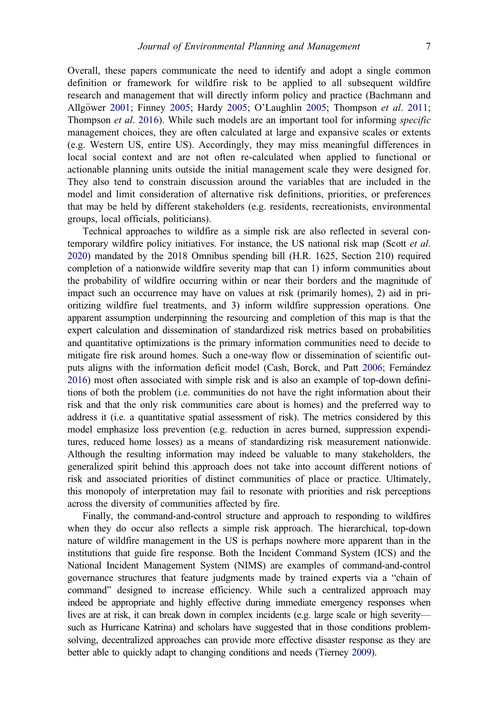<span id="page-7-0"></span>Overall, these papers communicate the need to identify and adopt a single common definition or framework for wildfire risk to be applied to all subsequent wildfire research and management that will directly inform policy and practice (Bachmann and

Allgöwer [2001;](#page-14-0) Finney [2005;](#page-16-0) Hardy [2005](#page-17-0); O'Laughlin 2005; Thompson et al. [2011](#page-19-0); Thompson et al. [2016\)](#page-19-0). While such models are an important tool for informing specific management choices, they are often calculated at large and expansive scales or extents (e.g. Western US, entire US). Accordingly, they may miss meaningful differences in local social context and are not often re-calculated when applied to functional or actionable planning units outside the initial management scale they were designed for. They also tend to constrain discussion around the variables that are included in the model and limit consideration of alternative risk definitions, priorities, or preferences that may be held by different stakeholders (e.g. residents, recreationists, environmental groups, local officials, politicians).

Technical approaches to wildfire as a simple risk are also reflected in several contemporary wildfire policy initiatives. For instance, the US national risk map (Scott et al. [2020](#page-18-0)) mandated by the 2018 Omnibus spending bill (H.R. 1625, Section 210) required completion of a nationwide wildfire severity map that can 1) inform communities about the probability of wildfire occurring within or near their borders and the magnitude of impact such an occurrence may have on values at risk (primarily homes), 2) aid in prioritizing wildfire fuel treatments, and 3) inform wildfire suppression operations. One apparent assumption underpinning the resourcing and completion of this map is that the expert calculation and dissemination of standardized risk metrics based on probabilities and quantitative optimizations is the primary information communities need to decide to mitigate fire risk around homes. Such a one-way flow or dissemination of scientific outputs aligns with the information deficit model (Cash, Borck, and Patt [2006](#page-15-0); Fernandez [2016](#page-16-0)) most often associated with simple risk and is also an example of top-down definitions of both the problem (i.e. communities do not have the right information about their risk and that the only risk communities care about is homes) and the preferred way to address it (i.e. a quantitative spatial assessment of risk). The metrics considered by this model emphasize loss prevention (e.g. reduction in acres burned, suppression expenditures, reduced home losses) as a means of standardizing risk measurement nationwide. Although the resulting information may indeed be valuable to many stakeholders, the generalized spirit behind this approach does not take into account different notions of risk and associated priorities of distinct communities of place or practice. Ultimately, this monopoly of interpretation may fail to resonate with priorities and risk perceptions across the diversity of communities affected by fire.

Finally, the command-and-control structure and approach to responding to wildfires when they do occur also reflects a simple risk approach. The hierarchical, top-down nature of wildfire management in the US is perhaps nowhere more apparent than in the institutions that guide fire response. Both the Incident Command System (ICS) and the National Incident Management System (NIMS) are examples of command-and-control governance structures that feature judgments made by trained experts via a "chain of command" designed to increase efficiency. While such a centralized approach may indeed be appropriate and highly effective during immediate emergency responses when lives are at risk, it can break down in complex incidents (e.g. large scale or high severity such as Hurricane Katrina) and scholars have suggested that in those conditions problemsolving, decentralized approaches can provide more effective disaster response as they are better able to quickly adapt to changing conditions and needs (Tierney [2009](#page-19-0)).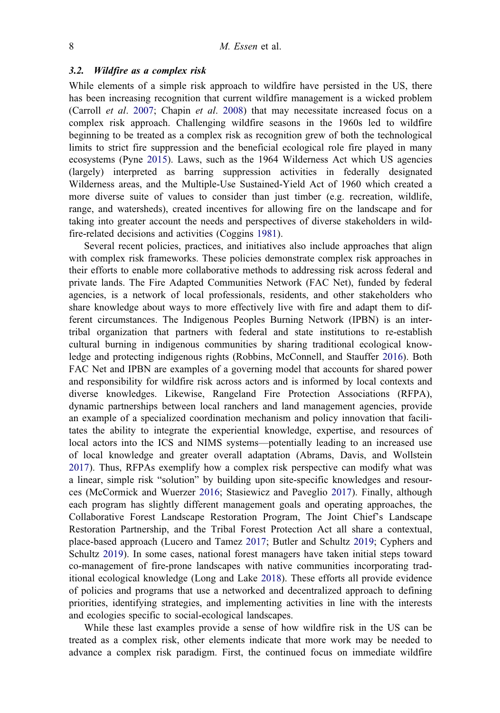#### <span id="page-8-0"></span>3.2. Wildfire as a complex risk

While elements of a simple risk approach to wildfire have persisted in the US, there has been increasing recognition that current wildfire management is a wicked problem (Carroll et al. [2007;](#page-15-0) Chapin et al. [2008](#page-15-0)) that may necessitate increased focus on a complex risk approach. Challenging wildfire seasons in the 1960s led to wildfire beginning to be treated as a complex risk as recognition grew of both the technological limits to strict fire suppression and the beneficial ecological role fire played in many ecosystems (Pyne [2015](#page-18-0)). Laws, such as the 1964 Wilderness Act which US agencies (largely) interpreted as barring suppression activities in federally designated Wilderness areas, and the Multiple-Use Sustained-Yield Act of 1960 which created a more diverse suite of values to consider than just timber (e.g. recreation, wildlife, range, and watersheds), created incentives for allowing fire on the landscape and for taking into greater account the needs and perspectives of diverse stakeholders in wildfire-related decisions and activities (Coggins [1981\)](#page-15-0).

Several recent policies, practices, and initiatives also include approaches that align with complex risk frameworks. These policies demonstrate complex risk approaches in their efforts to enable more collaborative methods to addressing risk across federal and private lands. The Fire Adapted Communities Network (FAC Net), funded by federal agencies, is a network of local professionals, residents, and other stakeholders who share knowledge about ways to more effectively live with fire and adapt them to different circumstances. The Indigenous Peoples Burning Network (IPBN) is an intertribal organization that partners with federal and state institutions to re-establish cultural burning in indigenous communities by sharing traditional ecological knowledge and protecting indigenous rights (Robbins, McConnell, and Stauffer [2016\)](#page-18-0). Both FAC Net and IPBN are examples of a governing model that accounts for shared power and responsibility for wildfire risk across actors and is informed by local contexts and diverse knowledges. Likewise, Rangeland Fire Protection Associations (RFPA), dynamic partnerships between local ranchers and land management agencies, provide an example of a specialized coordination mechanism and policy innovation that facilitates the ability to integrate the experiential knowledge, expertise, and resources of local actors into the ICS and NIMS systems—potentially leading to an increased use of local knowledge and greater overall adaptation (Abrams, Davis, and Wollstein [2017](#page-14-0)). Thus, RFPAs exemplify how a complex risk perspective can modify what was a linear, simple risk "solution" by building upon site-specific knowledges and resources (McCormick and Wuerzer [2016;](#page-17-0) Stasiewicz and Paveglio [2017](#page-18-0)). Finally, although each program has slightly different management goals and operating approaches, the Collaborative Forest Landscape Restoration Program, The Joint Chief's Landscape Restoration Partnership, and the Tribal Forest Protection Act all share a contextual, place-based approach (Lucero and Tamez [2017;](#page-17-0) Butler and Schultz [2019](#page-15-0); Cyphers and Schultz [2019\)](#page-16-0). In some cases, national forest managers have taken initial steps toward co-management of fire-prone landscapes with native communities incorporating traditional ecological knowledge (Long and Lake [2018\)](#page-17-0). These efforts all provide evidence of policies and programs that use a networked and decentralized approach to defining priorities, identifying strategies, and implementing activities in line with the interests and ecologies specific to social-ecological landscapes.

While these last examples provide a sense of how wildfire risk in the US can be treated as a complex risk, other elements indicate that more work may be needed to advance a complex risk paradigm. First, the continued focus on immediate wildfire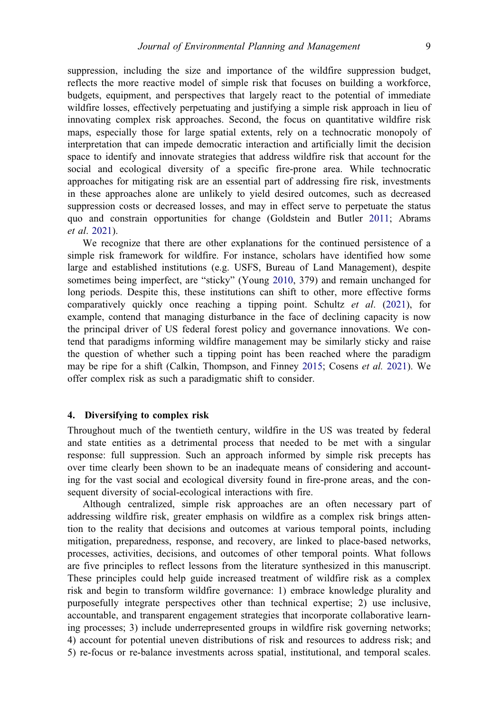<span id="page-9-0"></span>suppression, including the size and importance of the wildfire suppression budget, reflects the more reactive model of simple risk that focuses on building a workforce, budgets, equipment, and perspectives that largely react to the potential of immediate wildfire losses, effectively perpetuating and justifying a simple risk approach in lieu of innovating complex risk approaches. Second, the focus on quantitative wildfire risk maps, especially those for large spatial extents, rely on a technocratic monopoly of interpretation that can impede democratic interaction and artificially limit the decision space to identify and innovate strategies that address wildfire risk that account for the social and ecological diversity of a specific fire-prone area. While technocratic approaches for mitigating risk are an essential part of addressing fire risk, investments in these approaches alone are unlikely to yield desired outcomes, such as decreased suppression costs or decreased losses, and may in effect serve to perpetuate the status quo and constrain opportunities for change (Goldstein and Butler [2011](#page-16-0); Abrams et al. [2021\)](#page-14-0).

We recognize that there are other explanations for the continued persistence of a simple risk framework for wildfire. For instance, scholars have identified how some large and established institutions (e.g. USFS, Bureau of Land Management), despite sometimes being imperfect, are "sticky" (Young [2010](#page-19-0), 379) and remain unchanged for long periods. Despite this, these institutions can shift to other, more effective forms comparatively quickly once reaching a tipping point. Schultz et al. ([2021\)](#page-18-0), for example, contend that managing disturbance in the face of declining capacity is now the principal driver of US federal forest policy and governance innovations. We contend that paradigms informing wildfire management may be similarly sticky and raise the question of whether such a tipping point has been reached where the paradigm may be ripe for a shift (Calkin, Thompson, and Finney [2015](#page-15-0); Cosens et al. [2021\)](#page-15-0). We offer complex risk as such a paradigmatic shift to consider.

#### 4. Diversifying to complex risk

Throughout much of the twentieth century, wildfire in the US was treated by federal and state entities as a detrimental process that needed to be met with a singular response: full suppression. Such an approach informed by simple risk precepts has over time clearly been shown to be an inadequate means of considering and accounting for the vast social and ecological diversity found in fire-prone areas, and the consequent diversity of social-ecological interactions with fire.

Although centralized, simple risk approaches are an often necessary part of addressing wildfire risk, greater emphasis on wildfire as a complex risk brings attention to the reality that decisions and outcomes at various temporal points, including mitigation, preparedness, response, and recovery, are linked to place-based networks, processes, activities, decisions, and outcomes of other temporal points. What follows are five principles to reflect lessons from the literature synthesized in this manuscript. These principles could help guide increased treatment of wildfire risk as a complex risk and begin to transform wildfire governance: 1) embrace knowledge plurality and purposefully integrate perspectives other than technical expertise; 2) use inclusive, accountable, and transparent engagement strategies that incorporate collaborative learning processes; 3) include underrepresented groups in wildfire risk governing networks; 4) account for potential uneven distributions of risk and resources to address risk; and 5) re-focus or re-balance investments across spatial, institutional, and temporal scales.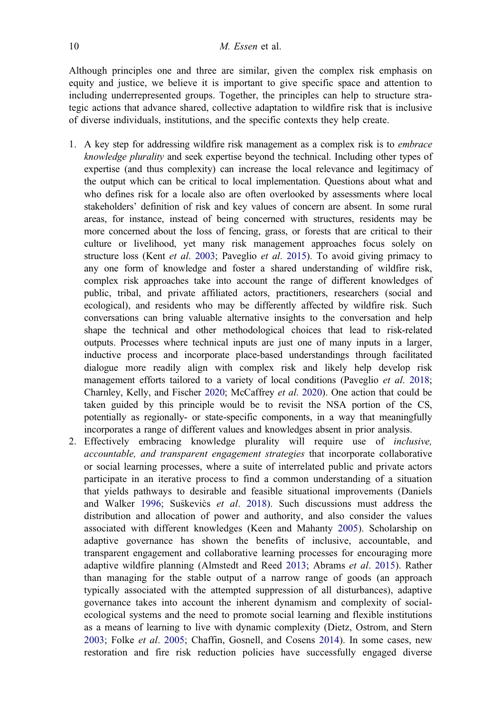<span id="page-10-0"></span>Although principles one and three are similar, given the complex risk emphasis on equity and justice, we believe it is important to give specific space and attention to including underrepresented groups. Together, the principles can help to structure strategic actions that advance shared, collective adaptation to wildfire risk that is inclusive of diverse individuals, institutions, and the specific contexts they help create.

- 1. A key step for addressing wildfire risk management as a complex risk is to *embrace* knowledge plurality and seek expertise beyond the technical. Including other types of expertise (and thus complexity) can increase the local relevance and legitimacy of the output which can be critical to local implementation. Questions about what and who defines risk for a locale also are often overlooked by assessments where local stakeholders' definition of risk and key values of concern are absent. In some rural areas, for instance, instead of being concerned with structures, residents may be more concerned about the loss of fencing, grass, or forests that are critical to their culture or livelihood, yet many risk management approaches focus solely on structure loss (Kent et al. [2003](#page-17-0); Paveglio et al. [2015\)](#page-18-0). To avoid giving primacy to any one form of knowledge and foster a shared understanding of wildfire risk, complex risk approaches take into account the range of different knowledges of public, tribal, and private affiliated actors, practitioners, researchers (social and ecological), and residents who may be differently affected by wildfire risk. Such conversations can bring valuable alternative insights to the conversation and help shape the technical and other methodological choices that lead to risk-related outputs. Processes where technical inputs are just one of many inputs in a larger, inductive process and incorporate place-based understandings through facilitated dialogue more readily align with complex risk and likely help develop risk management efforts tailored to a variety of local conditions (Paveglio *et al.* [2018;](#page-18-0) Charnley, Kelly, and Fischer [2020;](#page-15-0) McCaffrey et al. [2020\)](#page-17-0). One action that could be taken guided by this principle would be to revisit the NSA portion of the CS, potentially as regionally- or state-specific components, in a way that meaningfully incorporates a range of different values and knowledges absent in prior analysis.
- 2. Effectively embracing knowledge plurality will require use of inclusive, accountable, and transparent engagement strategies that incorporate collaborative or social learning processes, where a suite of interrelated public and private actors participate in an iterative process to find a common understanding of a situation that yields pathways to desirable and feasible situational improvements (Daniels and Walker [1996;](#page-16-0) Suškevičs et al. [2018](#page-19-0)). Such discussions must address the distribution and allocation of power and authority, and also consider the values associated with different knowledges (Keen and Mahanty [2005\)](#page-16-0). Scholarship on adaptive governance has shown the benefits of inclusive, accountable, and transparent engagement and collaborative learning processes for encouraging more adaptive wildfire planning (Almstedt and Reed [2013](#page-14-0); Abrams et al. [2015](#page-14-0)). Rather than managing for the stable output of a narrow range of goods (an approach typically associated with the attempted suppression of all disturbances), adaptive governance takes into account the inherent dynamism and complexity of socialecological systems and the need to promote social learning and flexible institutions as a means of learning to live with dynamic complexity (Dietz, Ostrom, and Stern [2003](#page-16-0); Folke et al. [2005](#page-16-0); Chaffin, Gosnell, and Cosens [2014\)](#page-15-0). In some cases, new restoration and fire risk reduction policies have successfully engaged diverse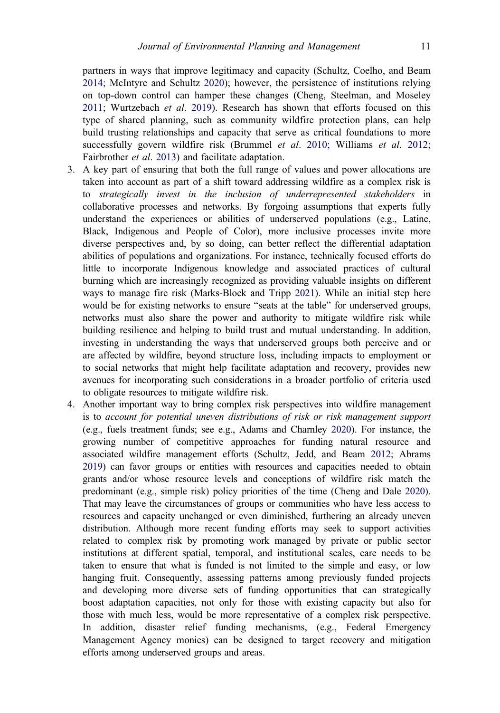<span id="page-11-0"></span>partners in ways that improve legitimacy and capacity (Schultz, Coelho, and Beam [2014;](#page-18-0) McIntyre and Schultz [2020](#page-17-0)); however, the persistence of institutions relying on top-down control can hamper these changes (Cheng, Steelman, and Moseley [2011;](#page-15-0) Wurtzebach et al. [2019](#page-19-0)). Research has shown that efforts focused on this type of shared planning, such as community wildfire protection plans, can help build trusting relationships and capacity that serve as critical foundations to more successfully govern wildfire risk (Brummel et al. [2010;](#page-14-0) Williams et al. [2012](#page-19-0); Fairbrother et al. [2013](#page-16-0)) and facilitate adaptation.

- 3. A key part of ensuring that both the full range of values and power allocations are taken into account as part of a shift toward addressing wildfire as a complex risk is to strategically invest in the inclusion of underrepresented stakeholders in collaborative processes and networks. By forgoing assumptions that experts fully understand the experiences or abilities of underserved populations (e.g., Latine, Black, Indigenous and People of Color), more inclusive processes invite more diverse perspectives and, by so doing, can better reflect the differential adaptation abilities of populations and organizations. For instance, technically focused efforts do little to incorporate Indigenous knowledge and associated practices of cultural burning which are increasingly recognized as providing valuable insights on different ways to manage fire risk (Marks-Block and Tripp [2021\)](#page-17-0). While an initial step here would be for existing networks to ensure "seats at the table" for underserved groups, networks must also share the power and authority to mitigate wildfire risk while building resilience and helping to build trust and mutual understanding. In addition, investing in understanding the ways that underserved groups both perceive and or are affected by wildfire, beyond structure loss, including impacts to employment or to social networks that might help facilitate adaptation and recovery, provides new avenues for incorporating such considerations in a broader portfolio of criteria used to obligate resources to mitigate wildfire risk.
- 4. Another important way to bring complex risk perspectives into wildfire management is to account for potential uneven distributions of risk or risk management support (e.g., fuels treatment funds; see e.g., Adams and Charnley [2020\)](#page-14-0). For instance, the growing number of competitive approaches for funding natural resource and associated wildfire management efforts (Schultz, Jedd, and Beam [2012;](#page-18-0) Abrams [2019](#page-13-0)) can favor groups or entities with resources and capacities needed to obtain grants and/or whose resource levels and conceptions of wildfire risk match the predominant (e.g., simple risk) policy priorities of the time (Cheng and Dale [2020](#page-15-0)). That may leave the circumstances of groups or communities who have less access to resources and capacity unchanged or even diminished, furthering an already uneven distribution. Although more recent funding efforts may seek to support activities related to complex risk by promoting work managed by private or public sector institutions at different spatial, temporal, and institutional scales, care needs to be taken to ensure that what is funded is not limited to the simple and easy, or low hanging fruit. Consequently, assessing patterns among previously funded projects and developing more diverse sets of funding opportunities that can strategically boost adaptation capacities, not only for those with existing capacity but also for those with much less, would be more representative of a complex risk perspective. In addition, disaster relief funding mechanisms, (e.g., Federal Emergency Management Agency monies) can be designed to target recovery and mitigation efforts among underserved groups and areas.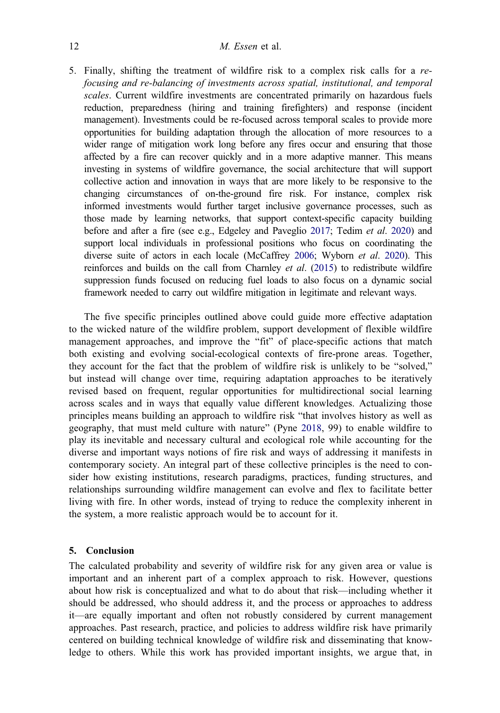<span id="page-12-0"></span>5. Finally, shifting the treatment of wildfire risk to a complex risk calls for a refocusing and re-balancing of investments across spatial, institutional, and temporal scales. Current wildfire investments are concentrated primarily on hazardous fuels reduction, preparedness (hiring and training firefighters) and response (incident management). Investments could be re-focused across temporal scales to provide more opportunities for building adaptation through the allocation of more resources to a wider range of mitigation work long before any fires occur and ensuring that those affected by a fire can recover quickly and in a more adaptive manner. This means investing in systems of wildfire governance, the social architecture that will support collective action and innovation in ways that are more likely to be responsive to the changing circumstances of on-the-ground fire risk. For instance, complex risk informed investments would further target inclusive governance processes, such as those made by learning networks, that support context-specific capacity building before and after a fire (see e.g., Edgeley and Paveglio [2017;](#page-16-0) Tedim et al. [2020](#page-19-0)) and support local individuals in professional positions who focus on coordinating the diverse suite of actors in each locale (McCaffrey [2006;](#page-17-0) Wyborn et al. [2020](#page-19-0)). This reinforces and builds on the call from Charnley et al. [\(2015](#page-15-0)) to redistribute wildfire suppression funds focused on reducing fuel loads to also focus on a dynamic social framework needed to carry out wildfire mitigation in legitimate and relevant ways.

The five specific principles outlined above could guide more effective adaptation to the wicked nature of the wildfire problem, support development of flexible wildfire management approaches, and improve the "fit" of place-specific actions that match both existing and evolving social-ecological contexts of fire-prone areas. Together, they account for the fact that the problem of wildfire risk is unlikely to be "solved," but instead will change over time, requiring adaptation approaches to be iteratively revised based on frequent, regular opportunities for multidirectional social learning across scales and in ways that equally value different knowledges. Actualizing those principles means building an approach to wildfire risk "that involves history as well as geography, that must meld culture with nature" (Pyne [2018](#page-18-0), 99) to enable wildfire to play its inevitable and necessary cultural and ecological role while accounting for the diverse and important ways notions of fire risk and ways of addressing it manifests in contemporary society. An integral part of these collective principles is the need to consider how existing institutions, research paradigms, practices, funding structures, and relationships surrounding wildfire management can evolve and flex to facilitate better living with fire. In other words, instead of trying to reduce the complexity inherent in the system, a more realistic approach would be to account for it.

### 5. Conclusion

The calculated probability and severity of wildfire risk for any given area or value is important and an inherent part of a complex approach to risk. However, questions about how risk is conceptualized and what to do about that risk—including whether it should be addressed, who should address it, and the process or approaches to address it—are equally important and often not robustly considered by current management approaches. Past research, practice, and policies to address wildfire risk have primarily centered on building technical knowledge of wildfire risk and disseminating that knowledge to others. While this work has provided important insights, we argue that, in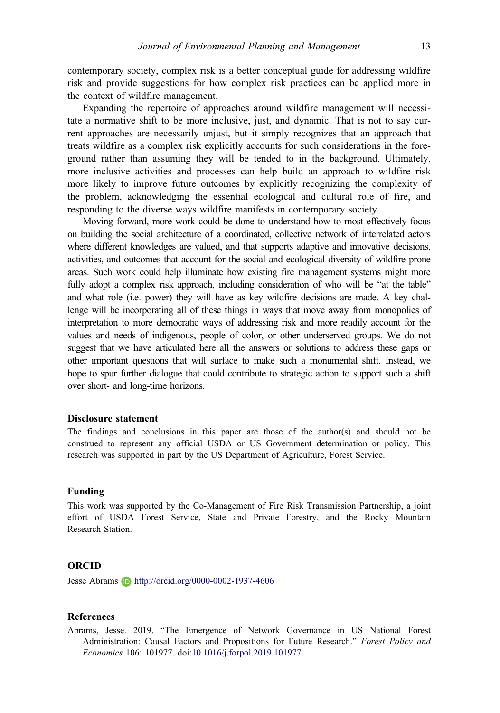<span id="page-13-0"></span>contemporary society, complex risk is a better conceptual guide for addressing wildfire risk and provide suggestions for how complex risk practices can be applied more in the context of wildfire management.

Expanding the repertoire of approaches around wildfire management will necessitate a normative shift to be more inclusive, just, and dynamic. That is not to say current approaches are necessarily unjust, but it simply recognizes that an approach that treats wildfire as a complex risk explicitly accounts for such considerations in the foreground rather than assuming they will be tended to in the background. Ultimately, more inclusive activities and processes can help build an approach to wildfire risk more likely to improve future outcomes by explicitly recognizing the complexity of the problem, acknowledging the essential ecological and cultural role of fire, and responding to the diverse ways wildfire manifests in contemporary society.

Moving forward, more work could be done to understand how to most effectively focus on building the social architecture of a coordinated, collective network of interrelated actors where different knowledges are valued, and that supports adaptive and innovative decisions, activities, and outcomes that account for the social and ecological diversity of wildfire prone areas. Such work could help illuminate how existing fire management systems might more fully adopt a complex risk approach, including consideration of who will be "at the table" and what role (i.e. power) they will have as key wildfire decisions are made. A key challenge will be incorporating all of these things in ways that move away from monopolies of interpretation to more democratic ways of addressing risk and more readily account for the values and needs of indigenous, people of color, or other underserved groups. We do not suggest that we have articulated here all the answers or solutions to address these gaps or other important questions that will surface to make such a monumental shift. Instead, we hope to spur further dialogue that could contribute to strategic action to support such a shift over short- and long-time horizons.

#### Disclosure statement

The findings and conclusions in this paper are those of the author(s) and should not be construed to represent any official USDA or US Government determination or policy. This research was supported in part by the US Department of Agriculture, Forest Service.

#### Funding

This work was supported by the Co-Management of Fire Risk Transmission Partnership, a joint effort of USDA Forest Service, State and Private Forestry, and the Rocky Mountain Research Station.

#### ORCID

Jesse Abrams **D** http://orcid.org/0000-0002-1937-4606

#### References

Abrams, Jesse. [2019.](#page-11-0) "The Emergence of Network Governance in US National Forest Administration: Causal Factors and Propositions for Future Research." Forest Policy and Economics 106: 101977. doi[:10.1016/j.forpol.2019.101977](https://doi.org/10.1016/j.forpol.2019.101977).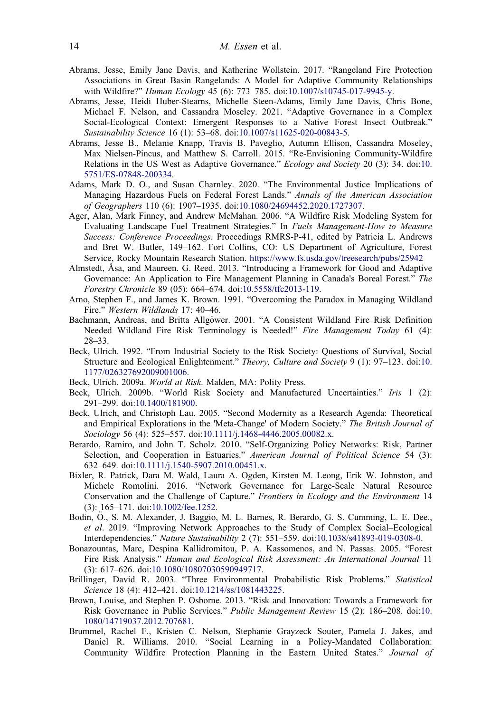- <span id="page-14-0"></span>Abrams, Jesse, Emily Jane Davis, and Katherine Wollstein. [2017.](#page-8-0) "Rangeland Fire Protection Associations in Great Basin Rangelands: A Model for Adaptive Community Relationships with Wildfire?" *Human Ecology* 45 (6): 773-785. doi[:10.1007/s10745-017-9945-y.](https://doi.org/10.1007/s10745-017-9945-y)
- Abrams, Jesse, Heidi Huber-Stearns, Michelle Steen-Adams, Emily Jane Davis, Chris Bone, Michael F. Nelson, and Cassandra Moseley. [2021.](#page-9-0) "Adaptive Governance in a Complex Social-Ecological Context: Emergent Responses to a Native Forest Insect Outbreak." Sustainability Science 16 (1): 53–68. doi:[10.1007/s11625-020-00843-5](https://doi.org/10.1007/s11625-020-00843-5).
- Abrams, Jesse B., Melanie Knapp, Travis B. Paveglio, Autumn Ellison, Cassandra Moseley, Max Nielsen-Pincus, and Matthew S. Carroll. [2015](#page-10-0). "Re-Envisioning Community-Wildfire Relations in the US West as Adaptive Governance." Ecology and Society 20 (3): 34. doi[:10.](https://doi.org/10.5751/ES-07848-200334) [5751/ES-07848-200334.](https://doi.org/10.5751/ES-07848-200334)
- Adams, Mark D. O., and Susan Charnley. [2020.](#page-11-0) "The Environmental Justice Implications of Managing Hazardous Fuels on Federal Forest Lands." Annals of the American Association of Geographers 110 (6): 1907–1935. doi:[10.1080/24694452.2020.1727307.](https://doi.org/10.1080/24694452.2020.1727307)
- Ager, Alan, Mark Finney, and Andrew McMahan. [2006](#page-6-0). "A Wildfire Risk Modeling System for Evaluating Landscape Fuel Treatment Strategies." In Fuels Management-How to Measure Success: Conference Proceedings. Proceedings RMRS-P-41, edited by Patricia L. Andrews and Bret W. Butler, 149–162. Fort Collins, CO: US Department of Agriculture, Forest Service, Rocky Mountain Research Station. <https://www.fs.usda.gov/treesearch/pubs/25942>
- Almstedt, Åsa, and Maureen. G. Reed. [2013.](#page-10-0) "Introducing a Framework for Good and Adaptive Governance: An Application to Fire Management Planning in Canada's Boreal Forest." The Forestry Chronicle 89 (05): 664–674. doi[:10.5558/tfc2013-119](https://doi.org/10.5558/tfc2013-119).
- Arno, Stephen F., and James K. Brown. [1991](#page-4-0). "Overcoming the Paradox in Managing Wildland Fire." Western Wildlands 17: 40–46.
- Bachmann, Andreas, and Britta Allgöwer. [2001.](#page-7-0) "A Consistent Wildland Fire Risk Definition Needed Wildland Fire Risk Terminology is Needed!" Fire Management Today 61 (4): 28–33.
- Beck, Ulrich. [1992.](#page-3-0) "From Industrial Society to the Risk Society: Questions of Survival, Social Structure and Ecological Enlightenment." Theory, Culture and Society 9 (1): 97–123. doi[:10.](https://doi.org/10.1177/026327692009001006) [1177/026327692009001006.](https://doi.org/10.1177/026327692009001006)
- Beck, Ulrich. [2009a](#page-5-0). World at Risk. Malden, MA: Polity Press.
- Beck, Ulrich. [2009b](#page-2-0). "World Risk Society and Manufactured Uncertainties." Iris 1 (2): 291–299. doi:[10.1400/181900.](https://doi.org/10.1400/181900)
- Beck, Ulrich, and Christoph Lau. [2005.](#page-4-0) "Second Modernity as a Research Agenda: Theoretical and Empirical Explorations in the 'Meta-Change' of Modern Society." The British Journal of Sociology 56 (4): 525–557. doi[:10.1111/j.1468-4446.2005.00082.x.](https://doi.org/10.1111/j.1468-4446.2005.00082.x)
- Berardo, Ramiro, and John T. Scholz. [2010](#page-3-0). "Self-Organizing Policy Networks: Risk, Partner Selection, and Cooperation in Estuaries." American Journal of Political Science 54 (3): 632–649. doi:[10.1111/j.1540-5907.2010.00451.x](https://doi.org/10.1111/j.1540-5907.2010.00451.x).
- Bixler, R. Patrick, Dara M. Wald, Laura A. Ogden, Kirsten M. Leong, Erik W. Johnston, and Michele Romolini. [2016.](#page-5-0) "Network Governance for Large-Scale Natural Resource Conservation and the Challenge of Capture." Frontiers in Ecology and the Environment 14 (3): 165–171. doi:[10.1002/fee.1252.](https://doi.org/10.1002/fee.1252)
- Bodin, Ö., S. M. Alexander, J. Baggio, M. L. Barnes, R. Berardo, G. S. Cumming, L. E. Dee., et al. [2019](#page-3-0). "Improving Network Approaches to the Study of Complex Social–Ecological Interdependencies." Nature Sustainability 2 (7): 551–559. doi[:10.1038/s41893-019-0308-0](https://doi.org/10.1038/s41893-019-0308-0).
- Bonazountas, Marc, Despina Kallidromitou, P. A. Kassomenos, and N. Passas. [2005.](#page-6-0) "Forest Fire Risk Analysis." Human and Ecological Risk Assessment: An International Journal 11 (3): 617–626. doi:[10.1080/10807030590949717](https://doi.org/10.1080/10807030590949717).
- Brillinger, David R. [2003.](#page-3-0) "Three Environmental Probabilistic Risk Problems." Statistical Science 18 (4): 412–421. doi[:10.1214/ss/1081443225.](https://doi.org/10.1214/ss/1081443225)
- Brown, Louise, and Stephen P. Osborne. [2013](#page-3-0). "Risk and Innovation: Towards a Framework for Risk Governance in Public Services." Public Management Review 15 (2): 186–208. doi[:10.](https://doi.org/10.1080/14719037.2012.707681) [1080/14719037.2012.707681](https://doi.org/10.1080/14719037.2012.707681).
- Brummel, Rachel F., Kristen C. Nelson, Stephanie Grayzeck Souter, Pamela J. Jakes, and Daniel R. Williams. [2010](#page-11-0). "Social Learning in a Policy-Mandated Collaboration: Community Wildfire Protection Planning in the Eastern United States." Journal of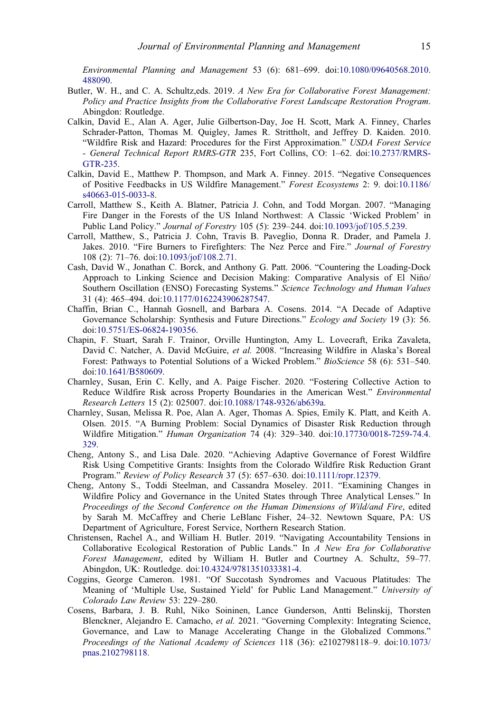<span id="page-15-0"></span>Environmental Planning and Management 53 (6): 681–699. doi:[10.1080/09640568.2010.](https://doi.org/10.1080/09640568.2010.488090) [488090.](https://doi.org/10.1080/09640568.2010.488090)

- Butler, W. H., and C. A. Schultz,eds. [2019](#page-8-0). A New Era for Collaborative Forest Management: Policy and Practice Insights from the Collaborative Forest Landscape Restoration Program. Abingdon: Routledge.
- Calkin, David E., Alan A. Ager, Julie Gilbertson-Day, Joe H. Scott, Mark A. Finney, Charles Schrader-Patton, Thomas M. Quigley, James R. Strittholt, and Jeffrey D. Kaiden. [2010.](#page-6-0) "Wildfire Risk and Hazard: Procedures for the First Approximation." USDA Forest Service - General Technical Report RMRS-GTR 235, Fort Collins, CO: 1–62. doi[:10.2737/RMRS-](https://doi.org/10.2737/RMRS-GTR-235)[GTR-235](https://doi.org/10.2737/RMRS-GTR-235).
- Calkin, David E., Matthew P. Thompson, and Mark A. Finney. [2015.](#page-2-0) "Negative Consequences of Positive Feedbacks in US Wildfire Management." Forest Ecosystems 2: 9. doi[:10.1186/](https://doi.org/10.1186/s40663-015-0033-8) [s40663-015-0033-8.](https://doi.org/10.1186/s40663-015-0033-8)
- Carroll, Matthew S., Keith A. Blatner, Patricia J. Cohn, and Todd Morgan. [2007](#page-8-0). "Managing Fire Danger in the Forests of the US Inland Northwest: A Classic 'Wicked Problem' in Public Land Policy." Journal of Forestry 105 (5): 239–244. doi:[10.1093/jof/105.5.239.](https://doi.org/10.1093/jof/105.5.239)
- Carroll, Matthew, S., Patricia J. Cohn, Travis B. Paveglio, Donna R. Drader, and Pamela J. Jakes. 2010. "Fire Burners to Firefighters: The Nez Perce and Fire." Journal of Forestry 108 (2): 71–76. doi:[10.1093/jof/108.2.71.](https://doi.org/10.1093/jof/108.2.71)
- Cash, David W., Jonathan C. Borck, and Anthony G. Patt. [2006](#page-3-0). "Countering the Loading-Dock Approach to Linking Science and Decision Making: Comparative Analysis of El Niño/ Southern Oscillation (ENSO) Forecasting Systems." Science Technology and Human Values 31 (4): 465–494. doi[:10.1177/0162243906287547](https://doi.org/10.1177/0162243906287547).
- Chaffin, Brian C., Hannah Gosnell, and Barbara A. Cosens. [2014](#page-10-0). "A Decade of Adaptive Governance Scholarship: Synthesis and Future Directions." Ecology and Society 19 (3): 56. doi:[10.5751/ES-06824-190356](https://doi.org/10.5751/ES-06824-190356).
- Chapin, F. Stuart, Sarah F. Trainor, Orville Huntington, Amy L. Lovecraft, Erika Zavaleta, David C. Natcher, A. David McGuire, et al. [2008.](#page-8-0) "Increasing Wildfire in Alaska's Boreal Forest: Pathways to Potential Solutions of a Wicked Problem." BioScience 58 (6): 531–540. doi:[10.1641/B580609](https://doi.org/10.1641/B580609).
- Charnley, Susan, Erin C. Kelly, and A. Paige Fischer. [2020](#page-10-0). "Fostering Collective Action to Reduce Wildfire Risk across Property Boundaries in the American West." Environmental Research Letters 15 (2): 025007. doi[:10.1088/1748-9326/ab639a.](https://doi.org/10.1088/1748-9326/ab639a)
- Charnley, Susan, Melissa R. Poe, Alan A. Ager, Thomas A. Spies, Emily K. Platt, and Keith A. Olsen. [2015](#page-12-0). "A Burning Problem: Social Dynamics of Disaster Risk Reduction through Wildfire Mitigation." Human Organization 74 (4): 329–340. doi:[10.17730/0018-7259-74.4.](https://doi.org/10.17730/0018-7259-74.4.329) [329](https://doi.org/10.17730/0018-7259-74.4.329).
- Cheng, Antony S., and Lisa Dale. [2020.](#page-11-0) "Achieving Adaptive Governance of Forest Wildfire Risk Using Competitive Grants: Insights from the Colorado Wildfire Risk Reduction Grant Program." Review of Policy Research 37 (5): 657–630. doi[:10.1111/ropr.12379.](https://doi.org/10.1111/ropr.12379)
- Cheng, Antony S., Toddi Steelman, and Cassandra Moseley. [2011.](#page-2-0) "Examining Changes in Wildfire Policy and Governance in the United States through Three Analytical Lenses." In Proceedings of the Second Conference on the Human Dimensions of Wild/and Fire, edited by Sarah M. McCaffrey and Cherie LeBlanc Fisher, 24–32. Newtown Square, PA: US Department of Agriculture, Forest Service, Northern Research Station.
- Christensen, Rachel A., and William H. Butler. [2019.](#page-5-0) "Navigating Accountability Tensions in Collaborative Ecological Restoration of Public Lands." In A New Era for Collaborative Forest Management, edited by William H. Butler and Courtney A. Schultz, 59–77. Abingdon, UK: Routledge. doi:[10.4324/9781351033381-4](https://doi.org/10.4324/9781351033381-4).
- Coggins, George Cameron. [1981.](#page-8-0) "Of Succotash Syndromes and Vacuous Platitudes: The Meaning of 'Multiple Use, Sustained Yield' for Public Land Management." University of Colorado Law Review 53: 229–280.
- Cosens, Barbara, J. B. Ruhl, Niko Soininen, Lance Gunderson, Antti Belinskij, Thorsten Blenckner, Alejandro E. Camacho, et al. [2021](#page-9-0). "Governing Complexity: Integrating Science, Governance, and Law to Manage Accelerating Change in the Globalized Commons." Proceedings of the National Academy of Sciences 118 (36): e2102798118–9. doi[:10.1073/](https://doi.org/10.1073/pnas.2102798118) [pnas.2102798118](https://doi.org/10.1073/pnas.2102798118).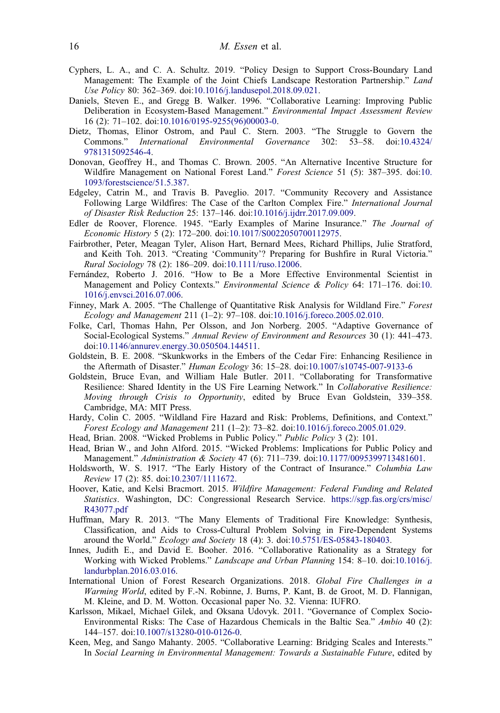- <span id="page-16-0"></span>Cyphers, L. A., and C. A. Schultz. [2019.](#page-8-0) "Policy Design to Support Cross-Boundary Land Management: The Example of the Joint Chiefs Landscape Restoration Partnership." Land Use Policy 80: 362–369. doi[:10.1016/j.landusepol.2018.09.021](https://doi.org/10.1016/j.landusepol.2018.09.021).
- Daniels, Steven E., and Gregg B. Walker. [1996](#page-10-0). "Collaborative Learning: Improving Public Deliberation in Ecosystem-Based Management." Environmental Impact Assessment Review 16 (2): 71–102. doi[:10.1016/0195-9255\(96\)00003-0](https://doi.org/10.1016/0195-9255(96)00003-0).
- Dietz, Thomas, Elinor Ostrom, and Paul C. Stern. [2003](#page-10-0). "The Struggle to Govern the Commons." International Environmental Governance 302: 53–58. doi:[10.4324/](https://doi.org/10.4324/9781315092546-4) [9781315092546-4](https://doi.org/10.4324/9781315092546-4).
- Donovan, Geoffrey H., and Thomas C. Brown. [2005](#page-6-0). "An Alternative Incentive Structure for Wildfire Management on National Forest Land." Forest Science 51 (5): 387–395. doi[:10.](https://doi.org/10.1093/forestscience/51.5.387) [1093/forestscience/51.5.387.](https://doi.org/10.1093/forestscience/51.5.387)
- Edgeley, Catrin M., and Travis B. Paveglio. [2017](#page-12-0). "Community Recovery and Assistance Following Large Wildfires: The Case of the Carlton Complex Fire." International Journal of Disaster Risk Reduction 25: 137–146. doi:[10.1016/j.ijdrr.2017.09.009](https://doi.org/10.1016/j.ijdrr.2017.09.009).
- Edler de Roover, Florence. [1945](#page-3-0). "Early Examples of Marine Insurance." The Journal of Economic History 5 (2): 172–200. doi[:10.1017/S0022050700112975](https://doi.org/10.1017/S0022050700112975).
- Fairbrother, Peter, Meagan Tyler, Alison Hart, Bernard Mees, Richard Phillips, Julie Stratford, and Keith Toh. [2013](#page-11-0). "Creating 'Community'? Preparing for Bushfire in Rural Victoria." Rural Sociology 78 (2): 186–209. doi:[10.1111/ruso.12006.](https://doi.org/10.1111/ruso.12006)
- Fernandez, Roberto J. [2016.](#page-3-0) "How to Be a More Effective Environmental Scientist in Management and Policy Contexts." Environmental Science & Policy 64: 171–176. doi[:10.](https://doi.org/10.1016/j.envsci.2016.07.006) [1016/j.envsci.2016.07.006.](https://doi.org/10.1016/j.envsci.2016.07.006)
- Finney, Mark A. [2005.](#page-6-0) "The Challenge of Quantitative Risk Analysis for Wildland Fire." Forest Ecology and Management 211 (1–2): 97–108. doi:[10.1016/j.foreco.2005.02.010](https://doi.org/10.1016/j.foreco.2005.02.010).
- Folke, Carl, Thomas Hahn, Per Olsson, and Jon Norberg. [2005.](#page-4-0) "Adaptive Governance of Social-Ecological Systems." Annual Review of Environment and Resources 30 (1): 441–473. doi[:10.1146/annurev.energy.30.050504.144511](https://doi.org/10.1146/annurev.energy.30.050504.144511).
- Goldstein, B. E. [2008](#page-3-0). "Skunkworks in the Embers of the Cedar Fire: Enhancing Resilience in the Aftermath of Disaster." Human Ecology 36: 15-28. doi[:10.1007/s10745-007-9133-6](https://doi.org/10.1007/s10745-007-9133-6)
- Goldstein, Bruce Evan, and William Hale Butler. [2011](#page-9-0). "Collaborating for Transformative Resilience: Shared Identity in the US Fire Learning Network." In Collaborative Resilience: Moving through Crisis to Opportunity, edited by Bruce Evan Goldstein, 339-358. Cambridge, MA: MIT Press.
- Hardy, Colin C. [2005](#page-7-0). "Wildland Fire Hazard and Risk: Problems, Definitions, and Context." Forest Ecology and Management 211 (1–2): 73–82. doi:[10.1016/j.foreco.2005.01.029](https://doi.org/10.1016/j.foreco.2005.01.029).
- Head, Brian. [2008](#page-4-0). "Wicked Problems in Public Policy." Public Policy 3 (2): 101.
- Head, Brian W., and John Alford. [2015](#page-4-0). "Wicked Problems: Implications for Public Policy and Management." Administration & Society 47 (6): 711–739. doi[:10.1177/0095399713481601.](https://doi.org/10.1177/0095399713481601)
- Holdsworth, W. S. [1917](#page-3-0). "The Early History of the Contract of Insurance." Columbia Law Review 17 (2): 85. doi[:10.2307/1111672.](https://doi.org/10.2307/1111672)
- Hoover, Katie, and Kelsi Bracmort. [2015](#page-6-0). Wildfire Management: Federal Funding and Related Statistics. Washington, DC: Congressional Research Service. [https://sgp.fas.org/crs/misc/](https://sgp.fas.org/crs/misc/R43077.pdf) [R43077.pdf](https://sgp.fas.org/crs/misc/R43077.pdf)
- Huffman, Mary R. [2013](#page-1-0). "The Many Elements of Traditional Fire Knowledge: Synthesis, Classification, and Aids to Cross-Cultural Problem Solving in Fire-Dependent Systems around the World." Ecology and Society 18 (4): 3. doi:[10.5751/ES-05843-180403.](https://doi.org/10.5751/ES-05843-180403)
- Innes, Judith E., and David E. Booher. [2016.](#page-4-0) "Collaborative Rationality as a Strategy for Working with Wicked Problems." Landscape and Urban Planning 154: 8–10. doi[:10.1016/j.](https://doi.org/10.1016/j.landurbplan.2016.03.016) [landurbplan.2016.03.016](https://doi.org/10.1016/j.landurbplan.2016.03.016).
- International Union of Forest Research Organizations. [2018.](#page-1-0) Global Fire Challenges in a Warming World, edited by F.-N. Robinne, J. Burns, P. Kant, B. de Groot, M. D. Flannigan, M. Kleine, and D. M. Wotton. Occasional paper No. 32. Vienna: IUFRO.
- Karlsson, Mikael, Michael Gilek, and Oksana Udovyk. [2011.](#page-2-0) "Governance of Complex Socio-Environmental Risks: The Case of Hazardous Chemicals in the Baltic Sea." Ambio 40 (2): 144–157. doi:[10.1007/s13280-010-0126-0.](https://doi.org/10.1007/s13280-010-0126-0)
- Keen, Meg, and Sango Mahanty. [2005](#page-10-0). "Collaborative Learning: Bridging Scales and Interests." In Social Learning in Environmental Management: Towards a Sustainable Future, edited by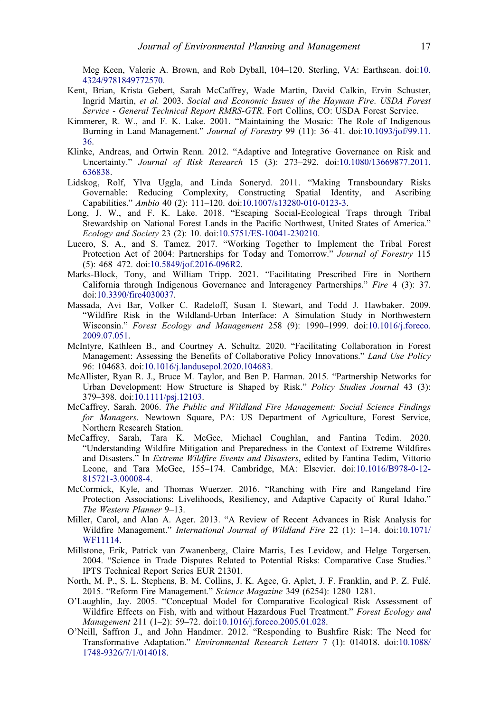<span id="page-17-0"></span>Meg Keen, Valerie A. Brown, and Rob Dyball, 104–120. Sterling, VA: Earthscan. doi:[10.](https://doi.org/10.4324/9781849772570) [4324/9781849772570.](https://doi.org/10.4324/9781849772570)

- Kent, Brian, Krista Gebert, Sarah McCaffrey, Wade Martin, David Calkin, Ervin Schuster, Ingrid Martin, et al. [2003](#page-10-0). Social and Economic Issues of the Hayman Fire. USDA Forest Service - General Technical Report RMRS-GTR. Fort Collins, CO: USDA Forest Service.
- Kimmerer, R. W., and F. K. Lake. [2001](#page-1-0). "Maintaining the Mosaic: The Role of Indigenous Burning in Land Management." Journal of Forestry 99 (11): 36–41. doi[:10.1093/jof/99.11.](https://doi.org/10.1093/jof/99.11.36) [36.](https://doi.org/10.1093/jof/99.11.36)
- Klinke, Andreas, and Ortwin Renn. [2012.](#page-5-0) "Adaptive and Integrative Governance on Risk and Uncertainty." Journal of Risk Research 15 (3): 273–292. doi:[10.1080/13669877.2011.](https://doi.org/10.1080/13669877.2011.636838) [636838.](https://doi.org/10.1080/13669877.2011.636838)
- Lidskog, Rolf, Ylva Uggla, and Linda Soneryd. [2011](#page-5-0). "Making Transboundary Risks Governable: Reducing Complexity, Constructing Spatial Identity, and Ascribing Capabilities." Ambio 40 (2): 111–120. doi[:10.1007/s13280-010-0123-3.](https://doi.org/10.1007/s13280-010-0123-3)
- Long, J. W., and F. K. Lake. [2018](#page-8-0). "Escaping Social-Ecological Traps through Tribal Stewardship on National Forest Lands in the Pacific Northwest, United States of America." Ecology and Society 23 (2): 10. doi:[10.5751/ES-10041-230210.](https://doi.org/10.5751/ES-10041-230210)
- Lucero, S. A., and S. Tamez. [2017](#page-8-0). "Working Together to Implement the Tribal Forest Protection Act of 2004: Partnerships for Today and Tomorrow." Journal of Forestry 115 (5): 468–472. doi[:10.5849/jof.2016-096R2](https://doi.org/10.5849/jof.2016-096R2).
- Marks-Block, Tony, and William Tripp. [2021](#page-11-0). "Facilitating Prescribed Fire in Northern California through Indigenous Governance and Interagency Partnerships." Fire 4 (3): 37. doi:[10.3390/fire4030037](https://doi.org/10.3390/fire4030037).
- Massada, Avi Bar, Volker C. Radeloff, Susan I. Stewart, and Todd J. Hawbaker. [2009.](#page-6-0) "Wildfire Risk in the Wildland-Urban Interface: A Simulation Study in Northwestern Wisconsin." Forest Ecology and Management 258 (9): 1990–1999. doi[:10.1016/j.foreco.](https://doi.org/10.1016/j.foreco.2009.07.051) [2009.07.051.](https://doi.org/10.1016/j.foreco.2009.07.051)
- McIntyre, Kathleen B., and Courtney A. Schultz. [2020](#page-11-0). "Facilitating Collaboration in Forest Management: Assessing the Benefits of Collaborative Policy Innovations." Land Use Policy 96: 104683. doi[:10.1016/j.landusepol.2020.104683](https://doi.org/10.1016/j.landusepol.2020.104683).
- McAllister, Ryan R. J., Bruce M. Taylor, and Ben P. Harman. [2015](#page-3-0). "Partnership Networks for Urban Development: How Structure is Shaped by Risk." *Policy Studies Journal* 43 (3): 379–398. doi[:10.1111/psj.12103](https://doi.org/10.1111/psj.12103).
- McCaffrey, Sarah. [2006.](#page-12-0) The Public and Wildland Fire Management: Social Science Findings for Managers. Newtown Square, PA: US Department of Agriculture, Forest Service, Northern Research Station.
- McCaffrey, Sarah, Tara K. McGee, Michael Coughlan, and Fantina Tedim. [2020.](#page-4-0) "Understanding Wildfire Mitigation and Preparedness in the Context of Extreme Wildfires and Disasters." In Extreme Wildfire Events and Disasters, edited by Fantina Tedim, Vittorio Leone, and Tara McGee, 155–174. Cambridge, MA: Elsevier. doi[:10.1016/B978-0-12-](https://doi.org/10.1016/B978-0-12-815721-3.00008-4) [815721-3.00008-4](https://doi.org/10.1016/B978-0-12-815721-3.00008-4).
- McCormick, Kyle, and Thomas Wuerzer. [2016.](#page-8-0) "Ranching with Fire and Rangeland Fire Protection Associations: Livelihoods, Resiliency, and Adaptive Capacity of Rural Idaho." The Western Planner 9–13.
- Miller, Carol, and Alan A. Ager. [2013](#page-6-0). "A Review of Recent Advances in Risk Analysis for Wildfire Management." International Journal of Wildland Fire 22 (1): 1–14. doi[:10.1071/](https://doi.org/10.1071/WF11114) [WF11114.](https://doi.org/10.1071/WF11114)
- Millstone, Erik, Patrick van Zwanenberg, Claire Marris, Les Levidow, and Helge Torgersen. [2004.](#page-3-0) "Science in Trade Disputes Related to Potential Risks: Comparative Case Studies." IPTS Technical Report Series EUR 21301.
- North, M. P., S. L. Stephens, B. M. Collins, J. K. Agee, G. Aplet, J. F. Franklin, and P. Z. Fule. [2015.](#page-2-0) "Reform Fire Management." Science Magazine 349 (6254): 1280–1281.
- O'Laughlin, Jay. [2005.](#page-7-0) "Conceptual Model for Comparative Ecological Risk Assessment of Wildfire Effects on Fish, with and without Hazardous Fuel Treatment." Forest Ecology and Management 211 (1–2): 59–72. doi:[10.1016/j.foreco.2005.01.028.](https://doi.org/10.1016/j.foreco.2005.01.028)
- O'Neill, Saffron J., and John Handmer. [2012.](#page-2-0) "Responding to Bushfire Risk: The Need for Transformative Adaptation." Environmental Research Letters 7 (1): 014018. doi[:10.1088/](https://doi.org/10.1088/1748-9326/7/1/014018) [1748-9326/7/1/014018](https://doi.org/10.1088/1748-9326/7/1/014018).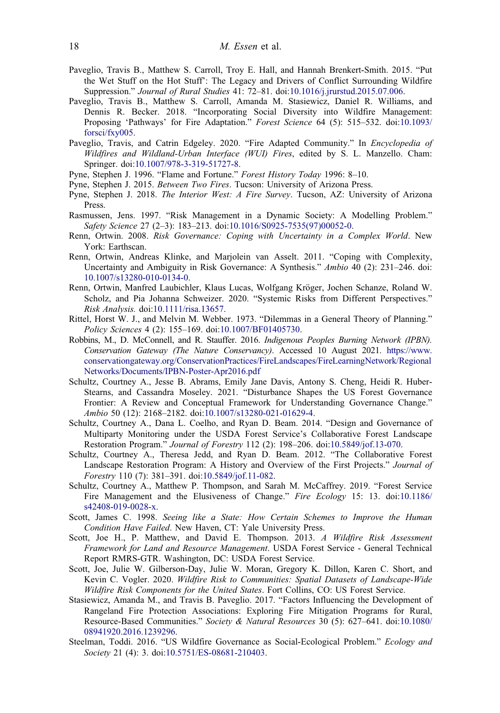- <span id="page-18-0"></span>Paveglio, Travis B., Matthew S. Carroll, Troy E. Hall, and Hannah Brenkert-Smith. [2015.](#page-10-0) "Put the Wet Stuff on the Hot Stuff': The Legacy and Drivers of Conflict Surrounding Wildfire Suppression." Journal of Rural Studies 41: 72–81. doi[:10.1016/j.jrurstud.2015.07.006.](https://doi.org/10.1016/j.jrurstud.2015.07.006)
- Paveglio, Travis B., Matthew S. Carroll, Amanda M. Stasiewicz, Daniel R. Williams, and Dennis R. Becker. [2018](#page-10-0). "Incorporating Social Diversity into Wildfire Management: Proposing 'Pathways' for Fire Adaptation." Forest Science 64 (5): 515–532. doi:[10.1093/](https://doi.org/10.1093/forsci/fxy005) [forsci/fxy005.](https://doi.org/10.1093/forsci/fxy005)
- Paveglio, Travis, and Catrin Edgeley. [2020](#page-2-0). "Fire Adapted Community." In *Encyclopedia of* Wildfires and Wildland-Urban Interface (WUI) Fires, edited by S. L. Manzello. Cham: Springer. doi[:10.1007/978-3-319-51727-8.](https://doi.org/10.1007/978-3-319-51727-8)
- Pyne, Stephen J. [1996](#page-1-0). "Flame and Fortune." Forest History Today 1996: 8–10.
- Pyne, Stephen J. [2015](#page-8-0). Between Two Fires. Tucson: University of Arizona Press.
- Pyne, Stephen J. [2018.](#page-12-0) The Interior West: A Fire Survey. Tucson, AZ: University of Arizona Press.
- Rasmussen, Jens. [1997.](#page-3-0) "Risk Management in a Dynamic Society: A Modelling Problem." Safety Science 27 (2–3): 183–213. doi[:10.1016/S0925-7535\(97\)00052-0](https://doi.org/10.1016/S0925-7535(97)00052-0).
- Renn, Ortwin. [2008](#page-3-0). Risk Governance: Coping with Uncertainty in a Complex World. New York: Earthscan.
- Renn, Ortwin, Andreas Klinke, and Marjolein van Asselt. [2011](#page-3-0). "Coping with Complexity, Uncertainty and Ambiguity in Risk Governance: A Synthesis." Ambio 40 (2): 231–246. doi: [10.1007/s13280-010-0134-0.](https://doi.org/10.1007/s13280-010-0134-0)
- Renn, Ortwin, Manfred Laubichler, Klaus Lucas, Wolfgang Kröger, Jochen Schanze, Roland W. Scholz, and Pia Johanna Schweizer. [2020.](#page-2-0) "Systemic Risks from Different Perspectives." Risk Analysis. doi[:10.1111/risa.13657.](https://doi.org/10.1111/risa.13657)
- Rittel, Horst W. J., and Melvin M. Webber. [1973](#page-4-0). "Dilemmas in a General Theory of Planning." Policy Sciences 4 (2): 155–169. doi[:10.1007/BF01405730](https://doi.org/10.1007/BF01405730).
- Robbins, M., D. McConnell, and R. Stauffer. [2016.](#page-8-0) Indigenous Peoples Burning Network (IPBN). Conservation Gateway (The Nature Conservancy). Accessed 10 August 2021. [https://www.](https://www.conservationgateway.org/ConservationPractices/FireLandscapes/FireLearningNetwork/RegionalNetworks/Documents/IPBN-Poster-Apr2016.pdf) [conservationgateway.org/ConservationPractices/FireLandscapes/FireLearningNetwork/Regional](https://www.conservationgateway.org/ConservationPractices/FireLandscapes/FireLearningNetwork/RegionalNetworks/Documents/IPBN-Poster-Apr2016.pdf) [Networks/Documents/IPBN-Poster-Apr2016.pdf](https://www.conservationgateway.org/ConservationPractices/FireLandscapes/FireLearningNetwork/RegionalNetworks/Documents/IPBN-Poster-Apr2016.pdf)
- Schultz, Courtney A., Jesse B. Abrams, Emily Jane Davis, Antony S. Cheng, Heidi R. Huber-Stearns, and Cassandra Moseley. [2021.](#page-9-0) "Disturbance Shapes the US Forest Governance Frontier: A Review and Conceptual Framework for Understanding Governance Change." Ambio 50 (12): 2168–2182. doi:[10.1007/s13280-021-01629-4](https://doi.org/10.1007/s13280-021-01629-4).
- Schultz, Courtney A., Dana L. Coelho, and Ryan D. Beam. [2014.](#page-11-0) "Design and Governance of Multiparty Monitoring under the USDA Forest Service's Collaborative Forest Landscape Restoration Program." Journal of Forestry 112 (2): 198–206. doi[:10.5849/jof.13-070](https://doi.org/10.5849/jof.13-070).
- Schultz, Courtney A., Theresa Jedd, and Ryan D. Beam. [2012.](#page-11-0) "The Collaborative Forest Landscape Restoration Program: A History and Overview of the First Projects." Journal of Forestry 110 (7): 381–391. doi[:10.5849/jof.11-082.](https://doi.org/10.5849/jof.11-082)
- Schultz, Courtney A., Matthew P. Thompson, and Sarah M. McCaffrey. [2019](#page-2-0). "Forest Service Fire Management and the Elusiveness of Change." Fire Ecology 15: 13. doi:[10.1186/](https://doi.org/10.1186/s42408-019-0028-x) [s42408-019-0028-x](https://doi.org/10.1186/s42408-019-0028-x).
- Scott, James C. [1998](#page-3-0). Seeing like a State: How Certain Schemes to Improve the Human Condition Have Failed. New Haven, CT: Yale University Press.
- Scott, Joe H., P. Matthew, and David E. Thompson. [2013.](#page-6-0) A Wildfire Risk Assessment Framework for Land and Resource Management. USDA Forest Service - General Technical Report RMRS-GTR. Washington, DC: USDA Forest Service.
- Scott, Joe, Julie W. Gilberson-Day, Julie W. Moran, Gregory K. Dillon, Karen C. Short, and Kevin C. Vogler. [2020](#page-7-0). Wildfire Risk to Communities: Spatial Datasets of Landscape-Wide Wildfire Risk Components for the United States. Fort Collins, CO: US Forest Service.
- Stasiewicz, Amanda M., and Travis B. Paveglio. [2017.](#page-8-0) "Factors Influencing the Development of Rangeland Fire Protection Associations: Exploring Fire Mitigation Programs for Rural, Resource-Based Communities." Society & Natural Resources 30 (5): 627–641. doi:[10.1080/](https://doi.org/10.1080/08941920.2016.1239296) [08941920.2016.1239296](https://doi.org/10.1080/08941920.2016.1239296).
- Steelman, Toddi. [2016](#page-5-0). "US Wildfire Governance as Social-Ecological Problem." Ecology and Society 21 (4): 3. doi:[10.5751/ES-08681-210403.](https://doi.org/10.5751/ES-08681-210403)